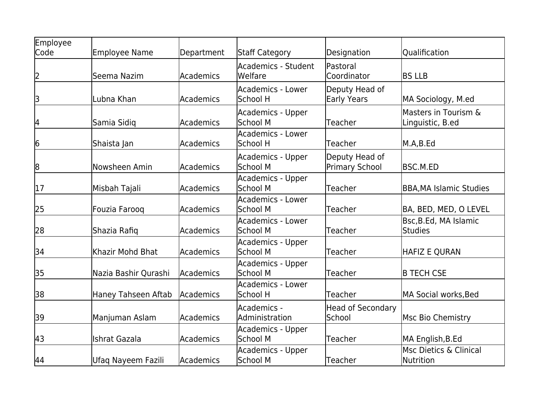| Employee<br>Code | <b>Employee Name</b> | Department | Staff Category                       | Designation                             | Qualification                            |
|------------------|----------------------|------------|--------------------------------------|-----------------------------------------|------------------------------------------|
| 2                | Seema Nazim          | Academics  | Academics - Student<br>Welfare       | Pastoral<br>Coordinator                 | <b>BS LLB</b>                            |
| 3                | Lubna Khan           | Academics  | Academics - Lower<br>School H        | Deputy Head of<br><b>Early Years</b>    | MA Sociology, M.ed                       |
| 4                | Samia Sidiq          | Academics  | Academics - Upper<br>School M        | Teacher                                 | Masters in Tourism &<br>Linguistic, B.ed |
| 6                | Shaista Jan          | Academics  | Academics - Lower<br>School H        | Teacher                                 | M.A,B.Ed                                 |
| 8                | Nowsheen Amin        | Academics  | Academics - Upper<br>School M        | Deputy Head of<br><b>Primary School</b> | BSC.M.ED                                 |
| 17               | Misbah Tajali        | Academics  | Academics - Upper<br>School M        | Teacher                                 | <b>BBA, MA Islamic Studies</b>           |
| 25               | Fouzia Faroog        | Academics  | Academics - Lower<br>School M        | Teacher                                 | BA, BED, MED, O LEVEL                    |
| 28               | Shazia Rafiq         | Academics  | Academics - Lower<br><b>School M</b> | Teacher                                 | Bsc, B.Ed, MA Islamic<br><b>Studies</b>  |
| 34               | Khazir Mohd Bhat     | Academics  | Academics - Upper<br><b>School M</b> | Teacher                                 | <b>HAFIZ E QURAN</b>                     |
| 35               | Nazia Bashir Qurashi | Academics  | <b>Academics - Upper</b><br>School M | Teacher                                 | <b>B TECH CSE</b>                        |
| 38               | Haney Tahseen Aftab  | Academics  | Academics - Lower<br>School H        | Teacher                                 | MA Social works, Bed                     |
| 39               | Manjuman Aslam       | Academics  | Academics -<br>Administration        | <b>Head of Secondary</b><br>School      | Msc Bio Chemistry                        |
| 43               | <b>Ishrat Gazala</b> | Academics  | Academics - Upper<br>School M        | Teacher                                 | MA English, B.Ed                         |
| 44               | Ufaq Nayeem Fazili   | Academics  | Academics - Upper<br><b>School M</b> | <b>Teacher</b>                          | lMsc Dietics & Clinical<br>Nutrition     |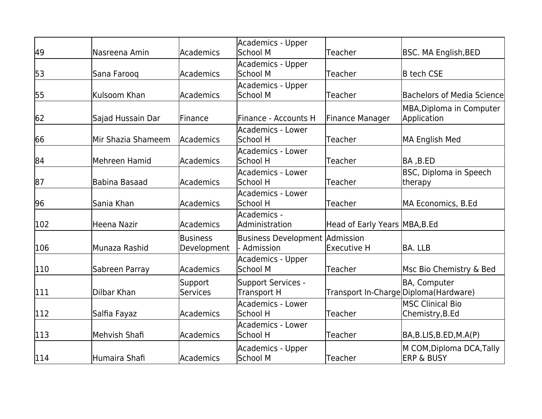|     |                    |                                 | Academics - Upper<br>School M                   |                                        |                                                    |
|-----|--------------------|---------------------------------|-------------------------------------------------|----------------------------------------|----------------------------------------------------|
| 49  | Nasreena Amin      | Academics                       |                                                 | Teacher                                | <b>BSC. MA English, BED</b>                        |
| 53  | Sana Farooq        | lAcademics                      | Academics - Upper<br>School M                   | Teacher                                | <b>B</b> tech CSE                                  |
| 55  | Kulsoom Khan       | Academics                       | <b>Academics - Upper</b><br><b>School M</b>     | Teacher                                | <b>Bachelors of Media Science</b>                  |
|     |                    |                                 |                                                 |                                        |                                                    |
| 62  | Sajad Hussain Dar  | <b>IFinance</b>                 | Finance - Accounts H                            | Finance Manager                        | MBA, Diploma in Computer<br><b>Application</b>     |
| 66  | Mir Shazia Shameem | Academics                       | <b>Academics - Lower</b><br>School H            | Teacher                                | MA English Med                                     |
| 84  | Mehreen Hamid      | Academics                       | Academics - Lower<br>School H                   | Teacher                                | BA ,B.ED                                           |
| 87  | lBabina Basaad     | Academics                       | <b>Academics - Lower</b><br>School H            | Teacher                                | <b>BSC, Diploma in Speech</b><br>therapy           |
| 96  | Sania Khan         | Academics                       | Academics - Lower<br>School H                   | Teacher                                | MA Economics, B.Ed                                 |
| 102 | Heena Nazir        | Academics                       | Academics -<br>Administration                   | Head of Early Years MBA, B.Ed          |                                                    |
| 106 | lMunaza Rashid     | <b>lBusiness</b><br>Development | Business Development Admission<br>Admission     | Executive H                            | BA. LLB                                            |
| 110 | Sabreen Parray     | <b>Academics</b>                | Academics - Upper<br><b>School M</b>            | Teacher                                | Msc Bio Chemistry & Bed                            |
| 111 | Dilbar Khan        | Support<br><b>Services</b>      | <b>Support Services -</b><br><b>Transport H</b> | Transport In-Charge Diploma (Hardware) | <b>BA, Computer</b>                                |
| 112 | Salfia Fayaz       | Academics                       | <b>Academics - Lower</b><br>School H            | Teacher                                | <b>IMSC Clinical Bio</b><br>Chemistry, B.Ed        |
| 113 | Mehvish Shafi      | Academics                       | <b>Academics - Lower</b><br>School H            | Teacher                                | BA,B.LIS,B.ED,M.A(P)                               |
| 114 | Humaira Shafi      | Academics                       | Academics - Upper<br><b>School M</b>            | Teacher                                | M COM, Diploma DCA, Tally<br><b>ERP &amp; BUSY</b> |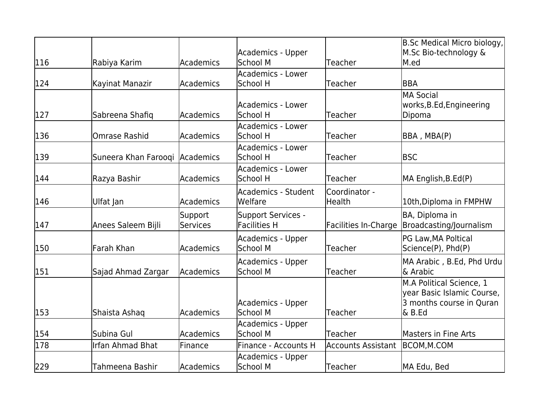|     |                                |                            |                                                  |                           | B.Sc Medical Micro biology,                                                                     |
|-----|--------------------------------|----------------------------|--------------------------------------------------|---------------------------|-------------------------------------------------------------------------------------------------|
| 116 | Rabiya Karim                   | Academics                  | Academics - Upper<br>School M                    | Teacher                   | M.Sc Bio-technology &<br>M.ed                                                                   |
|     |                                |                            | <b>Academics - Lower</b>                         |                           |                                                                                                 |
| 124 | Kayinat Manazir                | Academics                  | School H                                         | Teacher                   | IBBA                                                                                            |
| 127 | Sabreena Shafiq                | lAcademics                 | lAcademics - Lower<br>School H                   | Teacher                   | MA Social<br>works, B.Ed, Engineering<br>Dipoma                                                 |
| 136 | <b>Omrase Rashid</b>           | lAcademics                 | Academics - Lower<br>School H                    | Teacher                   | BBA, MBA(P)                                                                                     |
| 139 | Suneera Khan Farooqi Academics |                            | Academics - Lower<br>School H                    | Teacher                   | <b>IBSC</b>                                                                                     |
| 144 | Razya Bashir                   | Academics                  | <b>Academics - Lower</b><br>lSchool H            | Teacher                   | MA English, B.Ed(P)                                                                             |
| 146 | Ulfat Jan                      | Academics                  | Academics - Student<br>lWelfare                  | Coordinator -<br>Health   | 10th, Diploma in FMPHW                                                                          |
| 147 | Anees Saleem Bijli             | Support<br><b>Services</b> | <b>Support Services -</b><br><b>Facilities H</b> | Facilities In-Charge      | BA, Diploma in<br>Broadcasting/Journalism                                                       |
| 150 | lFarah Khan                    | Academics                  | Academics - Upper<br>School M                    | Teacher                   | PG Law, MA Poltical<br>Science(P), Phd(P)                                                       |
| 151 | Sajad Ahmad Zargar             | Academics                  | Academics - Upper<br>School M                    | Teacher                   | MA Arabic, B.Ed, Phd Urdu<br>l& Arabic                                                          |
| 153 | Shaista Ashaq                  | Academics                  | Academics - Upper<br>School M                    | Teacher                   | M.A Political Science, 1<br>year Basic Islamic Course,<br>3 months course in Quran<br>$\& B.Ed$ |
|     |                                |                            | Academics - Upper                                |                           |                                                                                                 |
| 154 | Subina Gul                     | Academics                  | School M                                         | Teacher                   | Masters in Fine Arts                                                                            |
| 178 | <b>Irfan Ahmad Bhat</b>        | Finance                    | Finance - Accounts H                             | <b>Accounts Assistant</b> | BCOM, M.COM                                                                                     |
| 229 | Tahmeena Bashir                | Academics                  | Academics - Upper<br><b>School M</b>             | Teacher                   | MA Edu, Bed                                                                                     |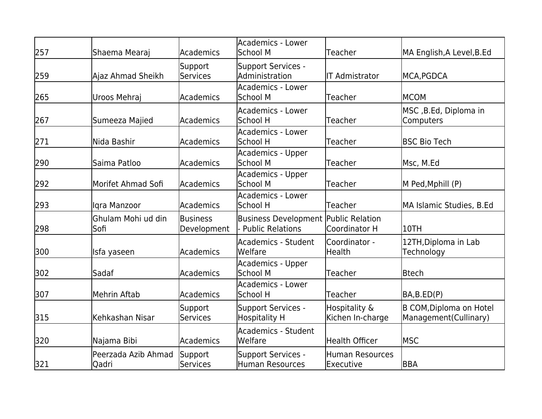| 257 | Shaema Mearaj                | Academics                  | Academics - Lower<br>School M                                          | <b>Teacher</b>                      | MA English,A Level,B.Ed                                  |
|-----|------------------------------|----------------------------|------------------------------------------------------------------------|-------------------------------------|----------------------------------------------------------|
| 259 | Ajaz Ahmad Sheikh            | Support<br><b>Services</b> | <b>Support Services -</b><br>Administration                            | <b>IT Admistrator</b>               | MCA, PGDCA                                               |
| 265 | Uroos Mehraj                 | Academics                  | <b>Academics - Lower</b><br>School M                                   | Teacher                             | MCOM                                                     |
| 267 | Sumeeza Majied               | Academics                  | Academics - Lower<br>School H                                          | Teacher                             | MSC, B.Ed, Diploma in<br>Computers                       |
| 271 | Nida Bashir                  | Academics                  | <b>Academics - Lower</b><br>School H                                   | Teacher                             | <b>BSC Bio Tech</b>                                      |
| 290 | Saima Patloo                 | <b>Academics</b>           | Academics - Upper<br>School M                                          | Teacher                             | Msc, M.Ed                                                |
| 292 | Morifet Ahmad Sofi           | Academics                  | Academics - Upper<br><b>School M</b>                                   | Teacher                             | M Ped,Mphill (P)                                         |
| 293 | Igra Manzoor                 | Academics                  | Academics - Lower<br>School H                                          | Teacher                             | MA Islamic Studies, B.Ed                                 |
| 298 | Ghulam Mohi ud din<br>Sofi   | Business<br>Development    | <b>Business Development Public Relation</b><br><b>Public Relations</b> | Coordinator H                       | 10TH                                                     |
| 300 | Isfa yaseen                  | Academics                  | Academics - Student<br>Welfare                                         | Coordinator -<br>Health             | 12TH, Diploma in Lab<br>Technology                       |
| 302 | Sadaf                        | Academics                  | <b>Academics - Upper</b><br>School M                                   | Teacher                             | <b>Btech</b>                                             |
| 307 | Mehrin Aftab                 | Academics                  | Academics - Lower<br>School H                                          | Teacher                             | BA,B.ED(P)                                               |
| 315 | Kehkashan Nisar              | Support<br><b>Services</b> | <b>Support Services -</b><br><b>Hospitality H</b>                      | Hospitality &<br>Kichen In-charge   | <b>B COM, Diploma on Hotel</b><br>Management (Cullinary) |
| 320 | Najama Bibi                  | Academics                  | Academics - Student<br>Welfare                                         | <b>Health Officer</b>               | <b>MSC</b>                                               |
| 321 | Peerzada Azib Ahmad<br>Qadri | Support<br>lServices       | <b>Support Services -</b><br><b>Human Resources</b>                    | <b>Human Resources</b><br>Executive | BBA                                                      |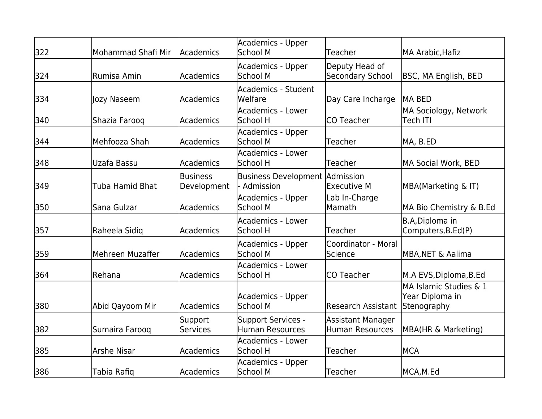| 322 | Mohammad Shafi Mir     | Academics                      | Academics - Upper<br>School M                       | Teacher                                            | MA Arabic, Hafiz                                         |
|-----|------------------------|--------------------------------|-----------------------------------------------------|----------------------------------------------------|----------------------------------------------------------|
| 324 | Rumisa Amin            | Academics                      | Academics - Upper<br>School M                       | Deputy Head of<br><b>Secondary School</b>          | BSC, MA English, BED                                     |
| 334 | Jozy Naseem            | Academics                      | Academics - Student<br>Welfare                      | Day Care Incharge                                  | MA BED                                                   |
| 340 | Shazia Faroog          | <b>Academics</b>               | <b>Academics - Lower</b><br>School H                | <b>CO Teacher</b>                                  | MA Sociology, Network<br><b>Tech ITI</b>                 |
| 344 | Mehfooza Shah          | Academics                      | Academics - Upper<br>School M                       | Teacher                                            | MA, B.ED                                                 |
| 348 | Uzafa Bassu            | Academics                      | Academics - Lower<br>School H                       | Teacher                                            | MA Social Work, BED                                      |
| 349 | <b>Tuba Hamid Bhat</b> | <b>Business</b><br>Development | Business Development Admission<br><b>Admission</b>  | <b>Executive M</b>                                 | MBA(Marketing & IT)                                      |
| 350 | Sana Gulzar            | Academics                      | Academics - Upper<br><b>School M</b>                | Lab In-Charge<br>Mamath                            | MA Bio Chemistry & B.Ed                                  |
| 357 | Raheela Sidiq          | Academics                      | Academics - Lower<br>School H                       | Teacher                                            | B.A, Diploma in<br>Computers, B.Ed(P)                    |
| 359 | Mehreen Muzaffer       | Academics                      | Academics - Upper<br>School M                       | Coordinator - Moral<br>Science                     | <b>MBA, NET &amp; Aalima</b>                             |
| 364 | Rehana                 | Academics                      | <b>Academics - Lower</b><br>School H                | <b>CO Teacher</b>                                  | M.A EVS, Diploma, B.Ed                                   |
| 380 | Abid Qayoom Mir        | lAcademics                     | Academics - Upper<br>School M                       | <b>Research Assistant</b>                          | MA Islamic Studies & 1<br>Year Diploma in<br>Stenography |
| 382 | Sumaira Farooq         | Support<br>Services            | <b>Support Services -</b><br><b>Human Resources</b> | <b>Assistant Manager</b><br><b>Human Resources</b> | MBA(HR & Marketing)                                      |
| 385 | <b>Arshe Nisar</b>     | Academics                      | Academics - Lower<br>School H                       | Teacher                                            | IMCA                                                     |
| 386 | Tabia Rafiq            | Academics                      | Academics - Upper<br>School M                       | Teacher                                            | MCA,M.Ed                                                 |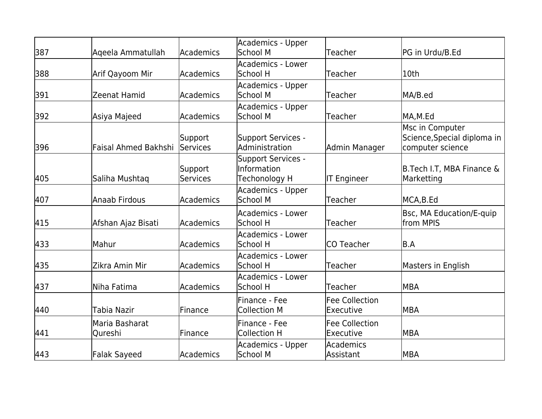| 387 | Ageela Ammatullah           | Academics                  | Academics - Upper<br>School M                                    | Teacher                                   | PG in Urdu/B.Ed                                                    |
|-----|-----------------------------|----------------------------|------------------------------------------------------------------|-------------------------------------------|--------------------------------------------------------------------|
| 388 | Arif Qayoom Mir             | Academics                  | Academics - Lower<br>School H                                    | Teacher                                   | l10th                                                              |
| 391 | Zeenat Hamid                | Academics                  | Academics - Upper<br>School M                                    | Teacher                                   | MA/B.ed                                                            |
| 392 | Asiya Majeed                | <b>Academics</b>           | Academics - Upper<br>School M                                    | Teacher                                   | MA,M.Ed                                                            |
| 396 | <b>Faisal Ahmed Bakhshi</b> | Support<br>Services        | Support Services -<br>Administration                             | Admin Manager                             | Msc in Computer<br>Science, Special diploma in<br>computer science |
| 405 | Saliha Mushtaq              | Support<br><b>Services</b> | <b>Support Services -</b><br><b>Information</b><br>Techonology H | <b>IT Engineer</b>                        | B.Tech I.T, MBA Finance &<br>Marketting                            |
| 407 | Anaab Firdous               | Academics                  | Academics - Upper<br>School M                                    | Teacher                                   | MCA,B.Ed                                                           |
| 415 | Afshan Ajaz Bisati          | Academics                  | Academics - Lower<br>School H                                    | Teacher                                   | Bsc, MA Education/E-quip<br>from MPIS                              |
| 433 | Mahur                       | Academics                  | Academics - Lower<br>School H                                    | lCO Teacher                               | B.A                                                                |
| 435 | Zikra Amin Mir              | Academics                  | Academics - Lower<br>School H                                    | Teacher                                   | Masters in English                                                 |
| 437 | Niha Fatima                 | Academics                  | Academics - Lower<br>School H                                    | Teacher                                   | lMBA                                                               |
| 440 | Tabia Nazir                 | Finance                    | lFinance - Fee<br><b>Collection M</b>                            | <b>Fee Collection</b><br><b>Executive</b> | lMBA                                                               |
| 441 | Maria Basharat<br>Qureshi   | Finance                    | lFinance - Fee<br><b>Collection H</b>                            | <b>Fee Collection</b><br>lExecutive       | lMBA                                                               |
| 443 | <b>Falak Sayeed</b>         | Academics                  | Academics - Upper<br>School M                                    | Academics<br>Assistant                    | MBA                                                                |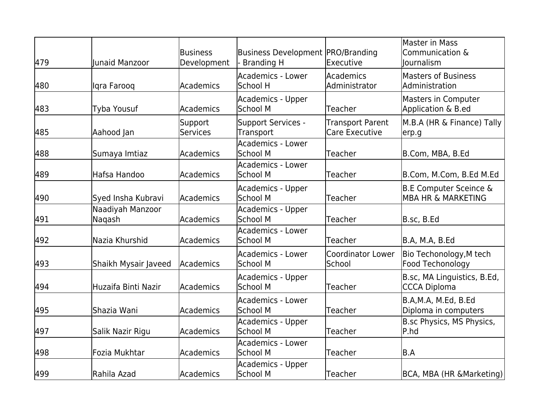| 479 | <b>Junaid Manzoor</b>      | Business<br>Development | <b>Business Development PRO/Branding</b><br><b>Branding H</b> | Executive                                 | Master in Mass<br>Communication &<br>lournalism                    |
|-----|----------------------------|-------------------------|---------------------------------------------------------------|-------------------------------------------|--------------------------------------------------------------------|
| 480 | llgra Faroog               | Academics               | Academics - Lower<br>School H                                 | Academics<br>Administrator                | <b>Masters of Business</b><br>Administration                       |
| 483 | Tyba Yousuf                | Academics               | Academics - Upper<br>School M                                 | Teacher                                   | Masters in Computer<br>Application & B.ed                          |
| 485 | Aahood Jan                 | Support<br>Services     | Support Services -<br>Transport                               | <b>Transport Parent</b><br>Care Executive | M.B.A (HR & Finance) Tally<br>erp.g                                |
| 488 | Sumaya Imtiaz              | Academics               | Academics - Lower<br>School M                                 | Teacher                                   | B.Com, MBA, B.Ed                                                   |
| 489 | Hafsa Handoo               | Academics               | <b>Academics - Lower</b><br>School M                          | Teacher                                   | B.Com, M.Com, B.Ed M.Ed                                            |
| 490 | Syed Insha Kubravi         | Academics               | Academics - Upper<br>School M                                 | Teacher                                   | <b>B.E Computer Sceince &amp;</b><br><b>MBA HR &amp; MARKETING</b> |
| 491 | Naadiyah Manzoor<br>Naqash | lAcademics              | Academics - Upper<br>School M                                 | Teacher                                   | B.sc, B.Ed                                                         |
| 492 | Nazia Khurshid             | Academics               | Academics - Lower<br>School M                                 | lTeacher                                  | B.A, M.A, B.Ed                                                     |
| 493 | Shaikh Mysair Javeed       | Academics               | Academics - Lower<br>School M                                 | Coordinator Lower<br>School               | Bio Techonology, M tech<br>Food Techonology                        |
| 494 | Huzaifa Binti Nazir        | Academics               | Academics - Upper<br>School M                                 | Teacher                                   | B.sc, MA Linguistics, B.Ed,<br>CCCA Diploma                        |
| 495 | Shazia Wani                | Academics               | Academics - Lower<br>School M                                 | Teacher                                   | B.A,M.A, M.Ed, B.Ed<br>Diploma in computers                        |
| 497 | Salik Nazir Rigu           | Academics               | Academics - Upper<br>School M                                 | Teacher                                   | B.sc Physics, MS Physics,<br>P.hd                                  |
| 498 | Fozia Mukhtar              | Academics               | Academics - Lower<br>School M                                 | <b>Teacher</b>                            | B.A                                                                |
| 499 | Rahila Azad                | <b>Academics</b>        | Academics - Upper<br>School M                                 | Teacher                                   | BCA, MBA (HR & Marketing)                                          |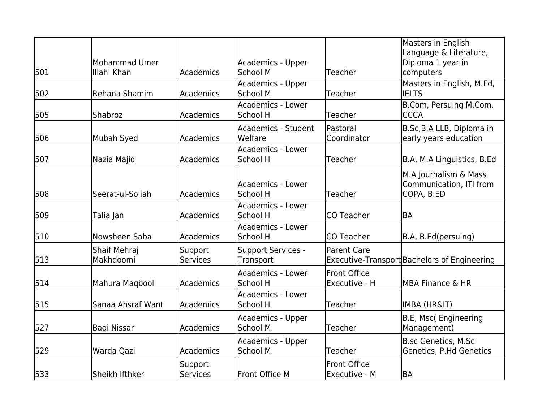|     |                   |                 |                        |                     | Masters in English                           |
|-----|-------------------|-----------------|------------------------|---------------------|----------------------------------------------|
|     |                   |                 |                        |                     | Language & Literature,                       |
|     | Mohammad Umer     |                 | Academics - Upper      |                     | Diploma 1 year in                            |
| 501 | Illahi Khan       | Academics       | School M               | Teacher             | computers                                    |
|     |                   |                 | Academics - Upper      |                     | Masters in English, M.Ed,                    |
| 502 | Rehana Shamim     | Academics       | School M               | Teacher             | <b>IELTS</b>                                 |
|     |                   |                 | Academics - Lower      |                     | B.Com, Persuing M.Com,                       |
| 505 | Shabroz           | Academics       | School H               | Teacher             | <b>CCCA</b>                                  |
|     |                   |                 | Academics - Student    | lPastoral           | B.Sc, B.A LLB, Diploma in                    |
| 506 | Mubah Syed        | Academics       | Welfare                | Coordinator         | early years education                        |
|     |                   |                 | Academics - Lower      |                     |                                              |
| 507 | Nazia Majid       | Academics       | School H               | Teacher             | B.A, M.A Linguistics, B.Ed                   |
|     |                   |                 |                        |                     | M.A Journalism & Mass                        |
|     |                   |                 | Academics - Lower      |                     | Communication, ITI from                      |
| 508 | Seerat-ul-Soliah  | Academics       | School H               | Teacher             | COPA, B.ED                                   |
|     |                   |                 | Academics - Lower      |                     |                                              |
| 509 | Talia Jan         | Academics       | School H               | lCO Teacher         | lba                                          |
|     |                   |                 | Academics - Lower      |                     |                                              |
| 510 | lNowsheen Saba    | Academics       | School H               | <b>CO Teacher</b>   | B.A, B.Ed(persuing)                          |
|     | Shaif Mehraj      | Support         | Support Services -     | <b>Parent Care</b>  |                                              |
| 513 | Makhdoomi         | <b>Services</b> | Transport              |                     | Executive-Transport Bachelors of Engineering |
|     |                   |                 | Academics - Lower      | <b>Front Office</b> |                                              |
| 514 | Mahura Maqbool    | Academics       | School H               | Executive - H       | MBA Finance & HR                             |
|     |                   |                 | Academics - Lower      |                     |                                              |
| 515 | Sanaa Ahsraf Want | Academics       | School H               | Teacher             | <b>IMBA (HR&amp;IT)</b>                      |
|     |                   |                 |                        |                     |                                              |
|     |                   |                 | Academics - Upper      |                     | B.E, Msc(Engineering                         |
| 527 | Bagi Nissar       | Academics       | School M               | Teacher             | Management)                                  |
|     |                   |                 | Academics - Upper      |                     | <b>B.sc Genetics, M.Sc</b>                   |
| 529 | Warda Qazi        | Academics       | lSchool M              | Teacher             | Genetics, P.Hd Genetics                      |
|     |                   | Support         |                        | <b>Front Office</b> |                                              |
| 533 | Sheikh Ifthker    | lServices       | <b>IFront Office M</b> | Executive - M       | BA                                           |